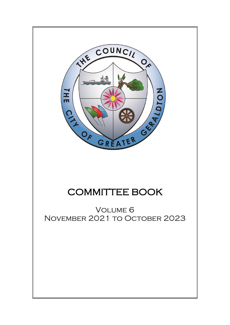

# COMMITTEE BOOK

Volume 6 November 2021 to October 2023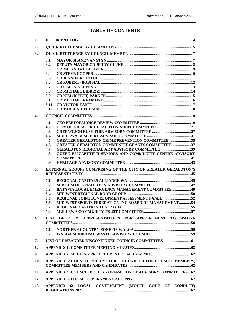# **TABLE OF CONTENTS**

| 1.           |                                                                         |
|--------------|-------------------------------------------------------------------------|
| 2.           |                                                                         |
| 3.           |                                                                         |
|              | 3.1                                                                     |
|              | 3.2                                                                     |
|              | 3.3                                                                     |
|              | 3.4                                                                     |
|              | 3.5                                                                     |
|              | 3.6                                                                     |
|              | 3.7                                                                     |
|              | 3.8                                                                     |
|              | 3.9<br>3.10                                                             |
|              | 3.11                                                                    |
|              | 3.12                                                                    |
| $\mathbf{4}$ |                                                                         |
|              | 4.1                                                                     |
|              | 4.2                                                                     |
|              | 4.3                                                                     |
|              | 4.4                                                                     |
|              | <b>GREATER GERALDTON CRIME PREVENTION COMMITTEE  35</b><br>4.5          |
|              | <b>GREATER GERALDTON COMMUNITY GRANTS COMMITTEE37</b><br>4.6            |
|              | 4.7                                                                     |
|              | QUEEN ELIZABETH II SENIORS AND COMMUNITY CENTRE ADVISORY<br>4.8         |
|              | 4.9                                                                     |
| 5.           | <b>EXTERNAL GROUPS COMPRISING OF THE CITY OF GREATER GERALDTON'S</b>    |
|              |                                                                         |
|              | 5.1                                                                     |
|              | 5.2                                                                     |
|              | <b>BATAVIA LOCAL EMERGENCY MANAGEMENT COMMITTEE  49</b><br>5.3          |
|              | 5.4                                                                     |
|              | 5.5                                                                     |
|              | MID WEST SPORTS FEDERATION INC BOARD OF MANAGEMENT54<br>5.6             |
|              | 5.7                                                                     |
|              | 5.8                                                                     |
| 6.           | LIST OF CITY REPRESENTATIVES FOR APPOINTMENT TO WALGA                   |
|              | 6.1                                                                     |
|              | 6.2                                                                     |
| 7.           | LIST OF DISBANDED/DISCONTINUED COUNCIL COMMITTEES  61                   |
| 8.           |                                                                         |
| 9.           |                                                                         |
| 10.          | APPENDIX 3: COUNCIL POLICY CODE OF CONDUCT FOR COUNCIL MEMBERS,         |
| 11.          | <b>APPENDIX 4: COUNCIL POLICY - OPERATION OF ADVISORY COMMITTEES 62</b> |
| 12.          |                                                                         |
| 13.          | APPENDIX 6: LOCAL GOVERNMENT (MODEL CODE OF CONDUCT)                    |
|              |                                                                         |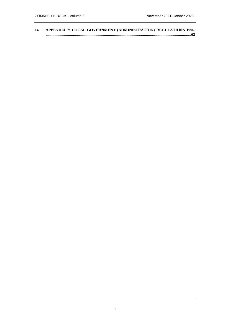**14. [APPENDIX 7: LOCAL GOVERNMENT \(ADMINISTRATION\) REGULATIONS 1996.](#page-61-6) [.....................................................................................................................................................62](#page-61-6)**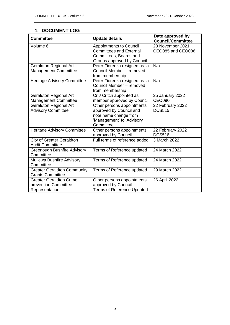# <span id="page-3-0"></span>**1. DOCUMENT LOG**

| <b>Committee</b>                                                         | <b>Update details</b>                                                                                                     | Date approved by<br><b>Council/Committee</b> |
|--------------------------------------------------------------------------|---------------------------------------------------------------------------------------------------------------------------|----------------------------------------------|
| Volume 6                                                                 | <b>Appointments to Council</b><br><b>Committees and External</b><br>Committees, Boards and<br>Groups approved by Council  | 23 November 2021<br>CEO085 and CEO086        |
| <b>Geraldton Regional Art</b><br><b>Management Committee</b>             | Peter Fiorenza resigned as a<br>Council Member - removed<br>from membership                                               | N/a                                          |
| <b>Heritage Advisory Committee</b>                                       | Peter Fiorenza resigned as a<br>Council Member - removed<br>from membership                                               | N/a                                          |
| <b>Geraldton Regional Art</b><br><b>Management Committee</b>             | Cr J Critch appointed as<br>member approved by Council                                                                    | 25 January 2022<br><b>CEO090</b>             |
| <b>Geraldton Regional Art</b><br><b>Advisory Committee</b>               | Other persons appointments<br>approved by Council and<br>note name change from<br>'Management' to 'Advisory<br>Committee' | 22 February 2022<br><b>DCS515</b>            |
| <b>Heritage Advisory Committee</b>                                       | Other persons appointments<br>approved by Council                                                                         | 22 February 2022<br><b>DCS516</b>            |
| <b>City of Greater Geraldton</b><br><b>Audit Committee</b>               | Full terms of reference added                                                                                             | 3 March 2022                                 |
| <b>Greenough Bushfire Advisory</b><br>Committee                          | Terms of Reference updated                                                                                                | 24 March 2022                                |
| Mullewa Bushfire Advisory<br>Committee                                   | Terms of Reference updated                                                                                                | 24 March 2022                                |
| <b>Greater Geraldton Community</b><br><b>Grants Committee</b>            | Terms of Reference updated                                                                                                | 29 March 2022                                |
| <b>Greater Geraldton Crime</b><br>prevention Committee<br>Representation | Other persons appointments<br>approved by Council.<br><b>Terms of Reference Updated</b>                                   | 26 April 2022                                |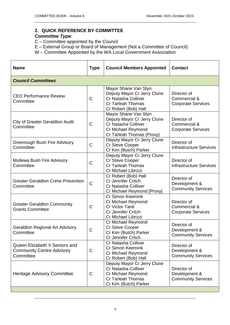# <span id="page-4-1"></span><span id="page-4-0"></span>**2. QUICK REFERENCE BY COMMITTEE**

# *Committee Type:*

- C Committee appointed by the Council
- E External Group or Board of Management (Not a Committee of Council)
- W Committee Appointed by the WA Local Government Association

| <b>Name</b>                                                                     | <b>Type</b>  | <b>Council Members Appointed</b>                                                                                                     | <b>Contact</b>                                            |
|---------------------------------------------------------------------------------|--------------|--------------------------------------------------------------------------------------------------------------------------------------|-----------------------------------------------------------|
| <b>Council Committees</b>                                                       |              |                                                                                                                                      |                                                           |
| <b>CEO Performance Review</b><br>Committee                                      | $\mathsf{C}$ | Mayor Shane Van Styn<br>Deputy Mayor Cr Jerry Clune<br>Cr Natasha Colliver<br>Cr Tarleah Thomas<br>Cr Robert (Bob) Hall              | Director of<br>Commercial &<br><b>Corporate Services</b>  |
| <b>City of Greater Geraldton Audit</b><br>Committee                             | $\mathsf{C}$ | Mayor Shane Van Styn<br>Deputy Mayor Cr Jerry Clune<br>Cr Natasha Colliver<br>Cr Michael Reymond<br>Cr Tarleah Thomas (Proxy)        | Director of<br>Commercial &<br><b>Corporate Services</b>  |
| Greenough Bush Fire Advisory<br>Committee                                       | $\mathsf{C}$ | Deputy Mayor Cr Jerry Clune<br>Cr Steve Cooper<br>Cr Kim (Butch) Parker                                                              | Director of<br><b>Infrastructure Services</b>             |
| Mullewa Bush Fire Advisory<br>Committee                                         | C            | Deputy Mayor Cr Jerry Clune<br>Cr Steve Cooper<br><b>Cr Tarleah Thomas</b><br>Cr Michael Librizzi                                    | Director of<br><b>Infrastructure Services</b>             |
| <b>Greater Geraldton Crime Prevention</b><br>Committee                          | $\mathsf{C}$ | Cr Robert (Bob) Hall<br>Cr Jennifer Critch<br><b>Cr Natasha Colliver</b><br>Cr Michael Reymond [Proxy]                               | Director of<br>Development &<br><b>Community Services</b> |
| <b>Greater Geraldton Community</b><br><b>Grants Committee</b>                   | $\mathsf{C}$ | Cr Simon Keemink<br>Cr Michael Reymond<br>Cr Victor Tanti<br><b>Cr Jennifer Critch</b><br>Cr Michael Librizzi                        | Director of<br>Commercial &<br><b>Corporate Services</b>  |
| <b>Geraldton Regional Art Advisory</b><br>Committee                             | $\mathsf{C}$ | Cr Michael Reymond<br>Cr Steve Cooper<br>Cr Kim (Butch) Parker<br>Cr Jennifer Critch                                                 | Director of<br>Development &<br><b>Community Services</b> |
| Queen Elizabeth II Seniors and<br><b>Community Centre Advisory</b><br>Committee | $\mathsf{C}$ | Cr Natasha Colliver<br><b>Cr Simon Keemink</b><br>Cr Michael Reymond<br>Cr Robert (Bob) Hall                                         | Director of<br>Development &<br><b>Community Services</b> |
| <b>Heritage Advisory Committee</b>                                              | $\mathsf{C}$ | Deputy Mayor Cr Jerry Clune<br><b>Cr Natasha Colliver</b><br><b>Cr Michael Reymond</b><br>Cr Tarleah Thomas<br>Cr Kim (Butch) Parker | Director of<br>Development &<br><b>Community Services</b> |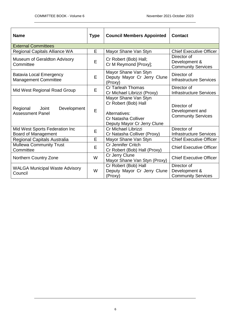| <b>Name</b>                                                   | <b>Type</b> | <b>Council Members Appointed</b>                                                                                           | <b>Contact</b>                                              |
|---------------------------------------------------------------|-------------|----------------------------------------------------------------------------------------------------------------------------|-------------------------------------------------------------|
| <b>External Committees</b>                                    |             |                                                                                                                            |                                                             |
| <b>Regional Capitals Alliance WA</b>                          | E           | Mayor Shane Van Styn                                                                                                       | <b>Chief Executive Officer</b>                              |
| Museum of Geraldton Advisory<br>Committee                     | E           | Cr Robert (Bob) Hall;<br>Cr M Reymond [Proxy];                                                                             | Director of<br>Development &<br><b>Community Services</b>   |
| <b>Batavia Local Emergency</b><br><b>Management Committee</b> | E           | Mayor Shane Van Styn<br>Deputy Mayor Cr Jerry Clune<br>(Proxy)                                                             | Director of<br><b>Infrastructure Services</b>               |
| Mid West Regional Road Group                                  | E           | Cr Tarleah Thomas<br>Cr Michael Librizzi (Proxy)                                                                           | Director of<br><b>Infrastructure Services</b>               |
| Regional<br>Development<br>Joint<br><b>Assessment Panel</b>   | E           | Mayor Shane Van Styn<br>Cr Robert (Bob) Hall<br>Alternatives:<br><b>Cr Natasha Colliver</b><br>Deputy Mayor Cr Jerry Clune | Director of<br>Development and<br><b>Community Services</b> |
| Mid West Sports Federation Inc<br><b>Board of Management</b>  | E           | Cr Michael Librizzi<br>Cr Natasha Colliver (Proxy)                                                                         | Director of<br><b>Infrastructure Services</b>               |
| Regional Capitals Australia                                   | E           | Mayor Shane Van Styn                                                                                                       | <b>Chief Executive Officer</b>                              |
| <b>Mullewa Community Trust</b><br>Committee                   | E           | Cr Jennifer Critch<br>Cr Robert (Bob) Hall (Proxy)                                                                         | <b>Chief Executive Officer</b>                              |
| Northern Country Zone                                         | W           | Cr Jerry Clune<br>Mayor Shane Van Styn (Proxy)                                                                             | <b>Chief Executive Officer</b>                              |
| <b>WALGA Municipal Waste Advisory</b><br>Council              | W           | Cr Robert (Bob) Hall<br>Deputy Mayor Cr Jerry Clune<br>(Proxy)                                                             | Director of<br>Development &<br><b>Community Services</b>   |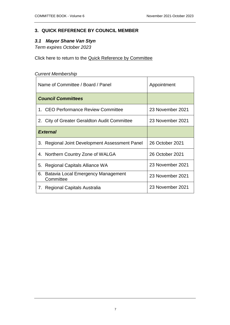# <span id="page-6-0"></span>**3. QUICK REFERENCE BY COUNCIL MEMBER**

# <span id="page-6-2"></span><span id="page-6-1"></span>*3.1 Mayor Shane Van Styn*

*Term expires October 2023*

Click here to return to the [Quick Reference by Committee](#page-4-0)

| <b>Current Membership</b>                          |                  |  |
|----------------------------------------------------|------------------|--|
| Name of Committee / Board / Panel                  | Appointment      |  |
| <b>Council Committees</b>                          |                  |  |
| 1. CEO Performance Review Committee                | 23 November 2021 |  |
| 2. City of Greater Geraldton Audit Committee       | 23 November 2021 |  |
| <b>External</b>                                    |                  |  |
| 3. Regional Joint Development Assessment Panel     | 26 October 2021  |  |
| 4. Northern Country Zone of WALGA                  | 26 October 2021  |  |
| 5. Regional Capitals Alliance WA                   | 23 November 2021 |  |
| 6. Batavia Local Emergency Management<br>Committee | 23 November 2021 |  |
| 7. Regional Capitals Australia                     | 23 November 2021 |  |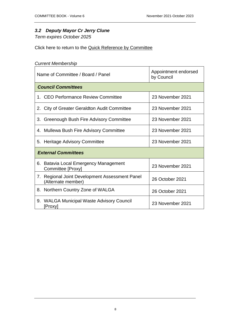# <span id="page-7-0"></span>*3.2 Deputy Mayor Cr Jerry Clune*

*Term expires October 2025*

Click here to return to the [Quick Reference by Committee](#page-4-0)

| <b>Current Membership</b>                                               |                                    |  |
|-------------------------------------------------------------------------|------------------------------------|--|
| Name of Committee / Board / Panel                                       | Appointment endorsed<br>by Council |  |
| <b>Council Committees</b>                                               |                                    |  |
| 1. CEO Performance Review Committee                                     | 23 November 2021                   |  |
| 2. City of Greater Geraldton Audit Committee                            | 23 November 2021                   |  |
| 3. Greenough Bush Fire Advisory Committee                               | 23 November 2021                   |  |
| 4. Mullewa Bush Fire Advisory Committee                                 | 23 November 2021                   |  |
| 5. Heritage Advisory Committee                                          | 23 November 2021                   |  |
| <b>External Committees</b>                                              |                                    |  |
| 6. Batavia Local Emergency Management<br>Committee [Proxy]              | 23 November 2021                   |  |
| Regional Joint Development Assessment Panel<br>7.<br>(Alternate member) | 26 October 2021                    |  |
| Northern Country Zone of WALGA<br>8.                                    | 26 October 2021                    |  |
| <b>WALGA Municipal Waste Advisory Council</b><br>9.<br>[Proxy]          | 23 November 2021                   |  |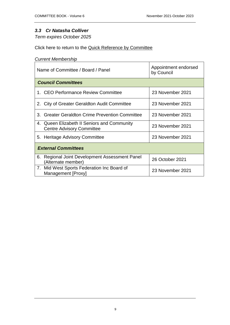# <span id="page-8-0"></span>*3.3 Cr Natasha Colliver*

*Term expires October 2025*

Click here to return to the [Quick Reference by Committee](#page-4-0)

| Name of Committee / Board / Panel                                               | Appointment endorsed<br>by Council |  |
|---------------------------------------------------------------------------------|------------------------------------|--|
| <b>Council Committees</b>                                                       |                                    |  |
| 1. CEO Performance Review Committee                                             | 23 November 2021                   |  |
| 2. City of Greater Geraldton Audit Committee                                    | 23 November 2021                   |  |
| <b>Greater Geraldton Crime Prevention Committee</b><br>3.                       | 23 November 2021                   |  |
| 4. Queen Elizabeth II Seniors and Community<br><b>Centre Advisory Committee</b> | 23 November 2021                   |  |
| 5. Heritage Advisory Committee                                                  | 23 November 2021                   |  |
| <b>External Committees</b>                                                      |                                    |  |
| Regional Joint Development Assessment Panel<br>6.<br>(Alternate member)         | 26 October 2021                    |  |
| 7. Mid West Sports Federation Inc Board of<br>Management [Proxy]                | 23 November 2021                   |  |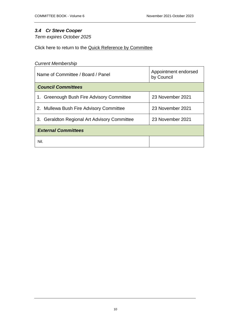# <span id="page-9-0"></span>*3.4 Cr Steve Cooper*

*Term expires October 2025*

Click here to return to the [Quick Reference by Committee](#page-4-0)

| Name of Committee / Board / Panel            | Appointment endorsed<br>by Council |  |
|----------------------------------------------|------------------------------------|--|
| <b>Council Committees</b>                    |                                    |  |
| 1. Greenough Bush Fire Advisory Committee    | 23 November 2021                   |  |
| 2. Mullewa Bush Fire Advisory Committee      | 23 November 2021                   |  |
| 3. Geraldton Regional Art Advisory Committee | 23 November 2021                   |  |
| <b>External Committees</b>                   |                                    |  |
| Nil.                                         |                                    |  |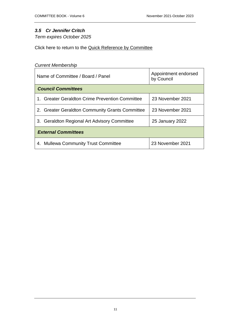# <span id="page-10-0"></span>*3.5 Cr Jennifer Critch*

*Term expires October 2025*

Click here to return to the [Quick Reference by Committee](#page-4-0)

| Name of Committee / Board / Panel               | Appointment endorsed<br>by Council |  |  |
|-------------------------------------------------|------------------------------------|--|--|
| <b>Council Committees</b>                       |                                    |  |  |
| 1. Greater Geraldton Crime Prevention Committee | 23 November 2021                   |  |  |
| 2. Greater Geraldton Community Grants Committee | 23 November 2021                   |  |  |
| 3. Geraldton Regional Art Advisory Committee    | 25 January 2022                    |  |  |
| <b>External Committees</b>                      |                                    |  |  |
| 4. Mullewa Community Trust Committee            | 23 November 2021                   |  |  |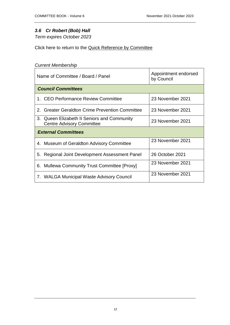# <span id="page-11-0"></span>*3.6 Cr Robert (Bob) Hall*

*Term expires October 2023*

Click here to return to the [Quick Reference by Committee](#page-4-0)

| Name of Committee / Board / Panel |                                                                                 | Appointment endorsed<br>by Council |
|-----------------------------------|---------------------------------------------------------------------------------|------------------------------------|
|                                   | <b>Council Committees</b>                                                       |                                    |
|                                   | 1. CEO Performance Review Committee                                             | 23 November 2021                   |
|                                   | 2. Greater Geraldton Crime Prevention Committee                                 | 23 November 2021                   |
|                                   | 3. Queen Elizabeth II Seniors and Community<br><b>Centre Advisory Committee</b> | 23 November 2021                   |
| <b>External Committees</b>        |                                                                                 |                                    |
|                                   | 4. Museum of Geraldton Advisory Committee                                       | 23 November 2021                   |
|                                   | 5. Regional Joint Development Assessment Panel                                  | 26 October 2021                    |
|                                   | 6. Mullewa Community Trust Committee [Proxy]                                    | 23 November 2021                   |
|                                   | 7. WALGA Municipal Waste Advisory Council                                       | 23 November 2021                   |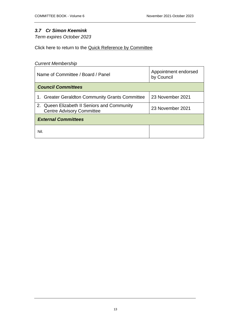# <span id="page-12-0"></span>*3.7 Cr Simon Keemink*

*Term expires October 2023*

Click here to return to the [Quick Reference by Committee](#page-4-0)

| Name of Committee / Board / Panel                                               | Appointment endorsed<br>by Council |  |
|---------------------------------------------------------------------------------|------------------------------------|--|
| <b>Council Committees</b>                                                       |                                    |  |
| 1. Greater Geraldton Community Grants Committee                                 | 23 November 2021                   |  |
| 2. Queen Elizabeth II Seniors and Community<br><b>Centre Advisory Committee</b> | 23 November 2021                   |  |
| <b>External Committees</b>                                                      |                                    |  |
| Nil.                                                                            |                                    |  |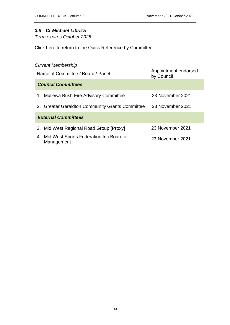# <span id="page-13-0"></span>*3.8 Cr Michael Librizzi*

*Term expires October 2025*

Click here to return to the [Quick Reference by Committee](#page-4-0)

| Name of Committee / Board / Panel                        | Appointment endorsed<br>by Council |  |
|----------------------------------------------------------|------------------------------------|--|
| <b>Council Committees</b>                                |                                    |  |
| 1. Mullewa Bush Fire Advisory Committee                  | 23 November 2021                   |  |
| 2. Greater Geraldton Community Grants Committee          | 23 November 2021                   |  |
| <b>External Committees</b>                               |                                    |  |
| 3. Mid West Regional Road Group [Proxy]                  | 23 November 2021                   |  |
| 4. Mid West Sports Federation Inc Board of<br>Management | 23 November 2021                   |  |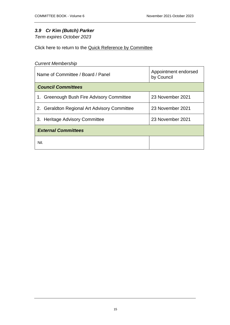# <span id="page-14-0"></span>*3.9 Cr Kim (Butch) Parker*

*Term expires October 2023*

Click here to return to the [Quick Reference by Committee](#page-4-0)

| Appointment endorsed<br>Name of Committee / Board / Panel<br>by Council |                  |
|-------------------------------------------------------------------------|------------------|
| <b>Council Committees</b>                                               |                  |
| 1. Greenough Bush Fire Advisory Committee                               | 23 November 2021 |
| 2. Geraldton Regional Art Advisory Committee                            | 23 November 2021 |
| 3. Heritage Advisory Committee                                          | 23 November 2021 |
| <b>External Committees</b>                                              |                  |
| Nil.                                                                    |                  |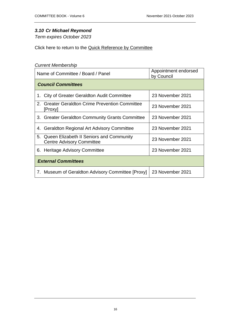# <span id="page-15-0"></span>*3.10 Cr Michael Reymond*

*Term expires October 2023*

Click here to return to the [Quick Reference by Committee](#page-4-0)

| Name of Committee / Board / Panel                                               | Appointment endorsed<br>by Council |
|---------------------------------------------------------------------------------|------------------------------------|
| <b>Council Committees</b>                                                       |                                    |
| 1. City of Greater Geraldton Audit Committee                                    | 23 November 2021                   |
| <b>Greater Geraldton Crime Prevention Committee</b><br>2.<br>[Proxy]            | 23 November 2021                   |
| 3. Greater Geraldton Community Grants Committee                                 | 23 November 2021                   |
| <b>Geraldton Regional Art Advisory Committee</b><br>4.                          | 23 November 2021                   |
| 5. Queen Elizabeth II Seniors and Community<br><b>Centre Advisory Committee</b> | 23 November 2021                   |
| 6. Heritage Advisory Committee                                                  | 23 November 2021                   |
| <b>External Committees</b>                                                      |                                    |
| 7. Museum of Geraldton Advisory Committee [Proxy]                               | 23 November 2021                   |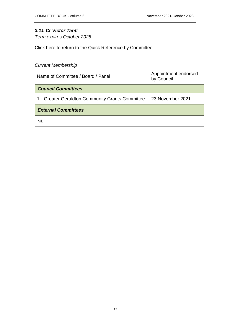# <span id="page-16-0"></span>*3.11 Cr Victor Tanti*

*Term expires October 2025*

Click here to return to the [Quick Reference by Committee](#page-4-0)

| Name of Committee / Board / Panel               | Appointment endorsed<br>by Council |
|-------------------------------------------------|------------------------------------|
| <b>Council Committees</b>                       |                                    |
| 1. Greater Geraldton Community Grants Committee | 23 November 2021                   |
| <b>External Committees</b>                      |                                    |
| Nil.                                            |                                    |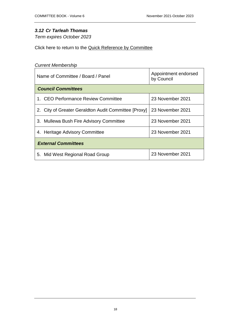# <span id="page-17-0"></span>*3.12 Cr Tarleah Thomas*

*Term expires October 2023*

Click here to return to the [Quick Reference by Committee](#page-4-0)

| Name of Committee / Board / Panel                    | Appointment endorsed<br>by Council |
|------------------------------------------------------|------------------------------------|
| <b>Council Committees</b>                            |                                    |
| 1. CEO Performance Review Committee                  | 23 November 2021                   |
| 2. City of Greater Geraldton Audit Committee [Proxy] | 23 November 2021                   |
| 3. Mullewa Bush Fire Advisory Committee              | 23 November 2021                   |
| 4. Heritage Advisory Committee                       | 23 November 2021                   |
| <b>External Committees</b>                           |                                    |
| 5. Mid West Regional Road Group                      | 23 November 2021                   |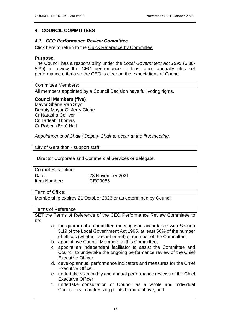# <span id="page-18-0"></span>**4. COUNCIL COMMITTEES**

# <span id="page-18-1"></span>*4.1 CEO Performance Review Committee*

Click here to return to the [Quick Reference by Committee](#page-4-0)

#### **Purpose:**

The Council has a responsibility under the *Local Government Act 1995* (5.38- 5.39) to review the CEO performance at least once annually plus set performance criteria so the CEO is clear on the expectations of Council.

Committee Members:

All members appointed by a Council Decision have full voting rights.

#### **Council Members (five)**

Mayor Shane Van Styn Deputy Mayor Cr Jerry Clune Cr Natasha Colliver Cr Tarleah Thomas Cr Robert (Bob) Hall

*Appointments of Chair / Deputy Chair to occur at the first meeting.* 

City of Geraldton - support staff

Director Corporate and Commercial Services or delegate.

Council Resolution:

Item Number**:** CEO0085

Date: 23 November 2021

#### Term of Office:

Membership expires 21 October 2023 or as determined by Council

#### Terms of Reference

SET the Terms of Reference of the CEO Performance Review Committee to be:

- a. the quorum of a committee meeting is in accordance with Section 5.19 of the Local Government Act 1995, at least 50% of the number of offices (whether vacant or not) of member of the Committee;
- b. appoint five Council Members to this Committee;
- c. appoint an independent facilitator to assist the Committee and Council to undertake the ongoing performance review of the Chief Executive Officer;
- d. develop annual performance indicators and measures for the Chief Executive Officer;
- e. undertake six monthly and annual performance reviews of the Chief Executive Officer;
- f. undertake consultation of Council as a whole and individual Councillors in addressing points b and c above; and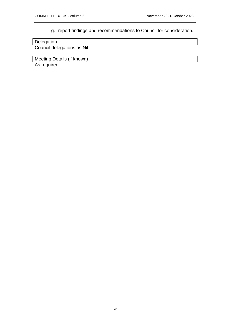# g. report findings and recommendations to Council for consideration.

| Delegation:                |  |
|----------------------------|--|
| Council delegations as Nil |  |
|                            |  |

Meeting Details (if known)

As required.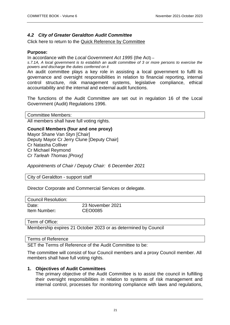# <span id="page-20-0"></span>*4.2 City of Greater Geraldton Audit Committee*

Click here to return to the [Quick Reference by Committee](#page-4-1)

# **Purpose:**

In accordance with the *Local Government Act 1995* (the Act) –

*s.7.1A, A local government is to establish an audit committee of 3 or more persons to exercise the powers and discharge the duties conferred on it* 

An audit committee plays a key role in assisting a local government to fulfil its governance and oversight responsibilities in relation to financial reporting, internal control structure, risk management systems, legislative compliance, ethical accountability and the internal and external audit functions.

The functions of the Audit Committee are set out in regulation 16 of the Local Government (Audit) Regulations 1996.

Committee Members: All members shall have full voting rights.

#### **Council Members (four and one proxy)**

Mayor Shane Van Styn [Chair] Deputy Mayor Cr Jerry Clune [Deputy Chair] Cr Natasha Colliver Cr Michael Reymond *Cr Tarleah Thomas [Proxy]*

*Appointments of Chair / Deputy Chair: 6 December 2021*

City of Geraldton - support staff

Director Corporate and Commercial Services or delegate.

| <b>Council Resolution:</b> |                             |
|----------------------------|-----------------------------|
| Date:<br>Item Number:      | 23 November 2021<br>CEO0085 |
|                            |                             |

Term of Office:

Membership expires 21 October 2023 or as determined by Council

Terms of Reference

SET the Terms of Reference of the Audit Committee to be:

The committee will consist of four Council members and a proxy Council member. All members shall have full voting rights.

#### **1. Objectives of Audit Committees**

The primary objective of the Audit Committee is to assist the council in fulfilling their oversight responsibilities in relation to systems of risk management and internal control, processes for monitoring compliance with laws and regulations,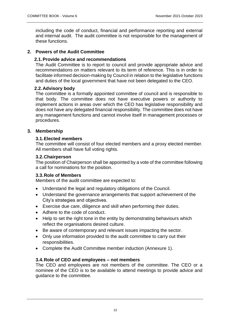including the code of conduct, financial and performance reporting and external and internal audit. The audit committee is not responsible for the management of these functions.

# **2. Powers of the Audit Committee**

### **2.1.Provide advice and recommendations**

The Audit Committee is to report to council and provide appropriate advice and recommendations on matters relevant to its term of reference. This is in order to facilitate informed decision-making by Council in relation to the legislative functions and duties of the local government that have not been delegated to the CEO.

# **2.2.Advisory body**

The committee is a formally appointed committee of council and is responsible to that body. The committee does not have executive powers or authority to implement actions in areas over which the CEO has legislative responsibility and does not have any delegated financial responsibility. The committee does not have any management functions and cannot involve itself in management processes or procedures.

#### **3. Membership**

# **3.1.Elected members**

The committee will consist of four elected members and a proxy elected member. All members shall have full voting rights.

#### **3.2.Chairperson**

The position of Chairperson shall be appointed by a vote of the committee following a call for nominations for the position.

# **3.3.Role of Members**

Members of the audit committee are expected to:

- Understand the legal and regulatory obligations of the Council.
- Understand the governance arrangements that support achievement of the City's strategies and objectives.
- Exercise due care, diligence and skill when performing their duties.
- Adhere to the code of conduct.
- Help to set the right tone in the entity by demonstrating behaviours which reflect the organisations desired culture.
- Be aware of contemporary and relevant issues impacting the sector.
- Only use information provided to the audit committee to carry out their responsibilities.
- Complete the Audit Committee member induction (Annexure 1).

#### **3.4.Role of CEO and employees – not members**

The CEO and employees are not members of the committee. The CEO or a nominee of the CEO is to be available to attend meetings to provide advice and guidance to the committee.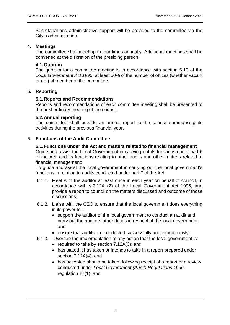Secretarial and administrative support will be provided to the committee via the City's administration.

# **4. Meetings**

The committee shall meet up to four times annually. Additional meetings shall be convened at the discretion of the presiding person.

# **4.1.Quorum**

The quorum for a committee meeting is in accordance with section 5.19 of the Local *Government Act 1995*, at least 50% of the number of offices (whether vacant or not) of member of the committee.

# **5. Reporting**

# **5.1.Reports and Recommendations**

Reports and recommendations of each committee meeting shall be presented to the next ordinary meeting of the council.

# **5.2.Annual reporting**

The committee shall provide an annual report to the council summarising its activities during the previous financial year.

# **6. Functions of the Audit Committee**

# **6.1.Functions under the Act and matters related to financial management**

Guide and assist the Local Government in carrying out its functions under part 6 of the Act, and its functions relating to other audits and other matters related to financial management;

To guide and assist the local government in carrying out the local government's functions in relation to audits conducted under part 7 of the Act:

- 6.1.1. Meet with the auditor at least once in each year on behalf of council, in accordance with s.7.12A (2) of the Local Government Act 1995, and provide a report to council on the matters discussed and outcome of those discussions;
- 6.1.2. Liaise with the CEO to ensure that the local government does everything in its power to –
	- support the auditor of the local government to conduct an audit and carry out the auditors other duties in respect of the local government; and
	- ensure that audits are conducted successfully and expeditiously;
- 6.1.3. Oversee the implementation of any action that the local government is:
	- required to take by section  $7.12A(3)$ ; and
	- has stated it has taken or intends to take in a report prepared under section 7.12A(4); and
	- has accepted should be taken, following receipt of a report of a review conducted under *Local Government (Audit) Regulations 1996,* regulation 17(1); and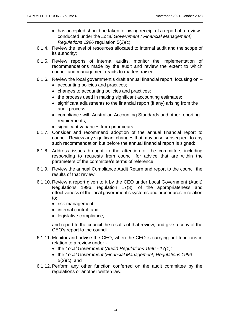- has accepted should be taken following receipt of a report of a review conducted under the *Local Government ( Financial Management) Regulations 1996* regulation 5(2)(c);
- 6.1.4. Review the level of resources allocated to internal audit and the scope of its authority;
- 6.1.5. Review reports of internal audits, monitor the implementation of recommendations made by the audit and review the extent to which council and management reacts to matters raised;
- 6.1.6. Review the local government's draft annual financial report, focusing on
	- accounting policies and practices;
	- changes to accounting policies and practices;
	- the process used in making significant accounting estimates;
	- significant adjustments to the financial report (if any) arising from the audit process;
	- compliance with Australian Accounting Standards and other reporting requirements; .
	- significant variances from prior years;
- 6.1.7. Consider and recommend adoption of the annual financial report to council. Review any significant changes that may arise subsequent to any such recommendation but before the annual financial report is signed;
- 6.1.8. Address issues brought to the attention of the committee, including responding to requests from council for advice that are within the parameters of the committee's terms of reference;
- 6.1.9. Review the annual Compliance Audit Return and report to the council the results of that review;
- 6.1.10. Review a report given to it by the CEO under Local Government (Audit) Regulations 1996, regulation 17(3), of the appropriateness and effectiveness of the local government's systems and procedures in relation to:
	- risk management:
	- internal control: and
	- legislative compliance;

and report to the council the results of that review, and give a copy of the CEO's report to the council;

- 6.1.11. Monitor and advise the CEO, when the CEO is carrying out functions in relation to a review under
	- the *Local Government (Audit) Regulations 1996 - 17(1);*
	- the *Local Government (Financial Management) Regulations 1996* 5(2)(c); and
- 6.1.12. Perform any other function conferred on the audit committee by the regulations or another written law.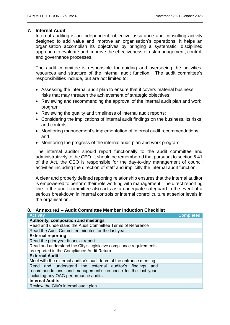# **7. Internal Audit**

Internal auditing is an independent, objective assurance and consulting activity designed to add value and improve an organisation's operations. It helps an organisation accomplish its objectives by bringing a systematic, disciplined approach to evaluate and improve the effectiveness of risk management, control, and governance processes.

The audit committee is responsible for guiding and overseeing the activities, resources and structure of the internal audit function. The audit committee's responsibilities include, but are not limited to:

- Assessing the internal audit plan to ensure that it covers material business risks that may threaten the achievement of strategic objectives:
- Reviewing and recommending the approval of the internal audit plan and work program;
- Reviewing the quality and timeliness of internal audit reports;
- Considering the implications of internal audit findings on the business, its risks and controls;
- Monitoring management's implementation of internal audit recommendations; and
- Monitoring the progress of the internal audit plan and work program.

The internal auditor should report functionally to the audit committee and administratively to the CEO. It should be remembered that pursuant to section 5.41 of the Act, the CEO is responsible for the day-to-day management of council activities including the direction of staff and implicitly the internal audit function.

A clear and properly defined reporting relationship ensures that the internal auditor is empowered to perform their role working with management. The direct reporting line to the audit committee also acts as an adequate safeguard in the event of a serious breakdown in internal controls or internal control culture at senior levels in the organisation.

# **8. Annexure1 – Audit Committee Member Induction Checklist**

| <b>Activity</b>                                                                                                                                                  | <b>Completed</b> |
|------------------------------------------------------------------------------------------------------------------------------------------------------------------|------------------|
| Authority, composition and meetings                                                                                                                              |                  |
| Read and understand the Audit Committee Terms of Reference                                                                                                       |                  |
| Read the Audit Committee minutes for the last year                                                                                                               |                  |
| <b>External reporting</b>                                                                                                                                        |                  |
| Read the prior year financial report                                                                                                                             |                  |
| Read and understand the City's legislative compliance requirements,                                                                                              |                  |
| as reported in the Compliance Audit Return                                                                                                                       |                  |
| <b>External Audit</b>                                                                                                                                            |                  |
| Meet with the external auditor's audit team at the entrance meeting                                                                                              |                  |
| Read and understand the external auditor's findings and<br>recommendations, and management's response for the last year;<br>including any OAG performance audits |                  |
| <b>Internal Audits</b>                                                                                                                                           |                  |
| Review the City's internal audit plan                                                                                                                            |                  |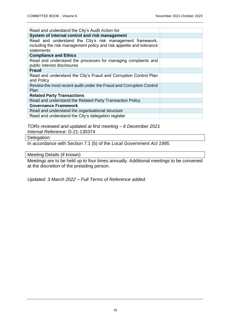| Read and understand the City's Audit Action list                                                                                                |  |
|-------------------------------------------------------------------------------------------------------------------------------------------------|--|
| System of internal control and risk management                                                                                                  |  |
| Read and understand the City's risk management framework,<br>including the risk management policy and risk appetite and tolerance<br>statements |  |
| <b>Compliance and Ethics</b>                                                                                                                    |  |
| Read and understand the processes for managing complaints and<br>public interest disclosures                                                    |  |
| <b>Fraud</b>                                                                                                                                    |  |
| Read and understand the City's Fraud and Corruption Control Plan<br>and Policy                                                                  |  |
| Review the most recent audit under the Fraud and Corruption Control<br><b>Plan</b>                                                              |  |
| <b>Related Party Transactions</b>                                                                                                               |  |
| Read and understand the Related Party Transaction Policy                                                                                        |  |
| <b>Governance Framework</b>                                                                                                                     |  |
| Read and understand the organisational structure                                                                                                |  |
| Read and understand the City's delegation register                                                                                              |  |

*TORs reviewed and updated at first meeting – 6 December 2021 Internal Reference:* D-21-130374

Delegation:

In accordance with Section 7.1 (b) of the *Local Government Act 1995*.

Meeting Details (if known)

Meetings are to be held up to four times annually. Additional meetings to be convened at the discretion of the presiding person.

*Updated: 3 March 2022 – Full Terms of Reference added.*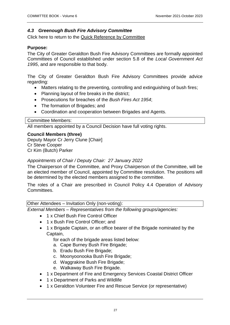# <span id="page-26-0"></span>*4.3 Greenough Bush Fire Advisory Committee*

Click here to return to the [Quick Reference by Committee](#page-4-1)

# **Purpose:**

The City of Greater Geraldton Bush Fire Advisory Committees are formally appointed Committees of Council established under section 5.8 of the *Local Government Act 1995*, and are responsible to that body.

The City of Greater Geraldton Bush Fire Advisory Committees provide advice regarding:

- Matters relating to the preventing, controlling and extinguishing of bush fires;
- Planning layout of fire breaks in the district;
- Prosecutions for breaches of the *Bush Fires Act 1954*;
- The formation of Brigades; and
- Coordination and cooperation between Brigades and Agents.

#### Committee Members:

All members appointed by a Council Decision have full voting rights.

# **Council Members (three)**

Deputy Mayor Cr Jerry Clune [Chair] Cr Steve Cooper Cr Kim (Butch) Parker

# *Appointments of Chair / Deputy Chair: 27 January 2022*

The Chairperson of the Committee, and Proxy Chairperson of the Committee, will be an elected member of Council, appointed by Committee resolution. The positions will be determined by the elected members assigned to the committee.

The roles of a Chair are prescribed in Council Policy 4.4 Operation of Advisory Committees.

# Other Attendees – Invitation Only (non-voting):

*External Members – Representatives from the following groups/agencies:*

- 1 x Chief Bush Fire Control Officer
- 1 x Bush Fire Control Officer; and
- 1 x Brigade Captain, or an office bearer of the Brigade nominated by the Captain,

for each of the brigade areas listed below:

- a. Cape Burney Bush Fire Brigade;
- b. Eradu Bush Fire Brigade;
- c. Moonyoonooka Bush Fire Brigade;
- d. Waggrakine Bush Fire Brigade;
- e. Walkaway Bush Fire Brigade.
- 1 x Department of Fire and Emergency Services Coastal District Officer
- 1 x Department of Parks and Wildlife
- 1 x Geraldton Volunteer Fire and Rescue Service (or representative)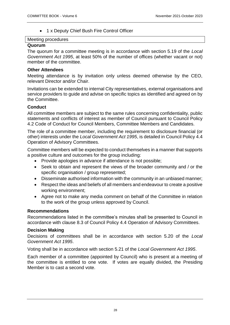• 1 x Deputy Chief Bush Fire Control Officer

### Meeting procedures

### **Quorum**

The quorum for a committee meeting is in accordance with section 5.19 of the *Local Government Act 1995*, at least 50% of the number of offices (whether vacant or not) member of the committee.

# **Other Attendees**

Meeting attendance is by invitation only unless deemed otherwise by the CEO, relevant Director and/or Chair.

Invitations can be extended to internal City representatives, external organisations and service providers to guide and advise on specific topics as identified and agreed on by the Committee.

# **Conduct**

All committee members are subject to the same rules concerning confidentiality, public statements and conflicts of interest as member of Council pursuant to Council Policy 4.2 Code of Conduct for Council Members, Committee Members and Candidates.

The role of a committee member, including the requirement to disclosure financial (or other) interests under the *Local Government Act 1995*, is detailed in Council Policy 4.4 Operation of Advisory Committees.

Committee members will be expected to conduct themselves in a manner that supports a positive culture and outcomes for the group including:

- Provide apologies in advance if attendance is not possible;
- Seek to obtain and represent the views of the broader community and / or the specific organisation / group represented;
- Disseminate authorised information with the community in an unbiased manner;
- Respect the ideas and beliefs of all members and endeavour to create a positive working environment;
- Agree not to make any media comment on behalf of the Committee in relation to the work of the group unless approved by Council.

# **Recommendations**

Recommendations listed in the committee's minutes shall be presented to Council in accordance with clause 8.3 of Council Policy 4.4 Operation of Advisory Committees.

# **Decision Making**

Decisions of committees shall be in accordance with section 5.20 of the *Local Government Act 1995*.

Voting shall be in accordance with section 5.21 of the *Local Government Act 1995*.

Each member of a committee (appointed by Council) who is present at a meeting of the committee is entitled to one vote. If votes are equally divided, the Presiding Member is to cast a second vote.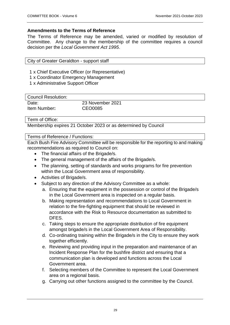# **Amendments to the Terms of Reference**

The Terms of Reference may be amended, varied or modified by resolution of Committee. Any change to the membership of the committee requires a council decision per the *Local Government Act 1995*.

City of Greater Geraldton - support staff

- 1 x Chief Executive Officer (or Representative)
- 1 x Coordinator Emergency Management
- 1 x Administrative Support Officer

Council Resolution:

| Date:        | 23 November 2021 |
|--------------|------------------|
| Item Number: | CEO0085          |

Term of Office:

Membership expires 21 October 2023 or as determined by Council

#### Terms of Reference / Functions:

Each Bush Fire Advisory Committee will be responsible for the reporting to and making recommendations as required to Council on:

- The financial affairs of the Brigade/s.
- The general management of the affairs of the Brigade/s.
- The planning, setting of standards and works programs for fire prevention within the Local Government area of responsibility.
- Activities of Brigade/s.
- Subject to any direction of the Advisory Committee as a whole:
	- a. Ensuring that the equipment in the possession or control of the Brigade/s in the Local Government area is inspected on a regular basis.
	- b. Making representation and recommendations to Local Government in relation to the fire-fighting equipment that should be reviewed in accordance with the Risk to Resource documentation as submitted to DFES.
	- c. Taking steps to ensure the appropriate distribution of fire equipment amongst brigade/s in the Local Government Area of Responsibility.
	- d. Co-ordinating training within the Brigade/s in the City to ensure they work together efficiently.
	- e. Reviewing and providing input in the preparation and maintenance of an Incident Response Plan for the bushfire district and ensuring that a communication plan is developed and functions across the Local Government area.
	- f. Selecting members of the Committee to represent the Local Government area on a regional basis.
	- g. Carrying out other functions assigned to the committee by the Council.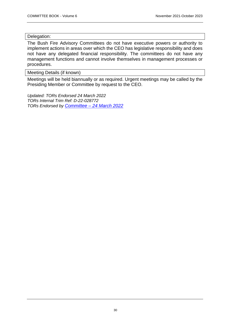#### Delegation:

The Bush Fire Advisory Committees do not have executive powers or authority to implement actions in areas over which the CEO has legislative responsibility and does not have any delegated financial responsibility. The committees do not have any management functions and cannot involve themselves in management processes or procedures.

Meeting Details (if known)

Meetings will be held biannually or as required. Urgent meetings may be called by the Presiding Member or Committee by request to the CEO.

*Updated: TORs Endorsed 24 March 2022 TORs Internal Trim Ref: D-22-028772 TORs Endorsed by Committee – [24 March 2022](https://www.cgg.wa.gov.au/documents/1238/minutes-greenough-bushfire-advisory-committee-24-march-2022)*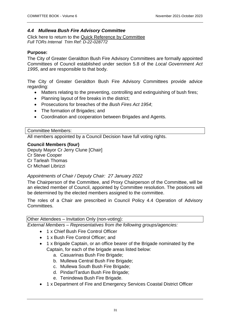# <span id="page-30-0"></span>*4.4 Mullewa Bush Fire Advisory Committee*

Click here to return to the [Quick Reference by Committee](#page-4-1) *Full TORs Internal Trim Ref: D-22-028772*

# **Purpose:**

The City of Greater Geraldton Bush Fire Advisory Committees are formally appointed Committees of Council established under section 5.8 of the *Local Government Act 1995*, and are responsible to that body.

The City of Greater Geraldton Bush Fire Advisory Committees provide advice regarding:

- Matters relating to the preventing, controlling and extinguishing of bush fires;
- Planning layout of fire breaks in the district;
- Prosecutions for breaches of the *Bush Fires Act 1954*;
- The formation of Brigades; and
- Coordination and cooperation between Brigades and Agents.

#### Committee Members:

All members appointed by a Council Decision have full voting rights.

#### **Council Members (four)**

Deputy Mayor Cr Jerry Clune [Chair] Cr Steve Cooper Cr Tarleah Thomas Cr Michael Librizzi

#### *Appointments of Chair / Deputy Chair: 27 January 2022*

The Chairperson of the Committee, and Proxy Chairperson of the Committee, will be an elected member of Council, appointed by Committee resolution. The positions will be determined by the elected members assigned to the committee.

The roles of a Chair are prescribed in Council Policy 4.4 Operation of Advisory Committees.

#### Other Attendees – Invitation Only (non-voting):

*External Members – Representatives from the following groups/agencies:*

- 1 x Chief Bush Fire Control Officer
- 1 x Bush Fire Control Officer; and
- 1 x Brigade Captain, or an office bearer of the Brigade nominated by the Captain, for each of the brigade areas listed below:
	- a. Casuarinas Bush Fire Brigade;
	- b. Mullewa Central Bush Fire Brigade;
	- c. Mullewa South Bush Fire Brigade;
	- d. Pindar/Tardun Bush Fire Brigade;
	- e. Tenindewa Bush Fire Brigade.
- 1 x Department of Fire and Emergency Services Coastal District Officer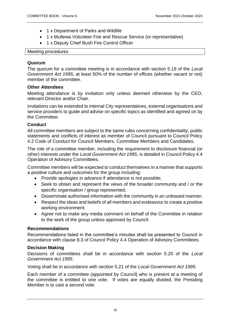- 1 x Department of Parks and Wildlife
- 1 x Mullewa Volunteer Fire and Rescue Service (or representative)
- 1 x Deputy Chief Bush Fire Control Officer

#### Meeting procedures

# **Quorum**

The quorum for a committee meeting is in accordance with section 5.19 of the *Local Government Act 1995*, at least 50% of the number of offices (whether vacant or not) member of the committee.

# **Other Attendees**

Meeting attendance is by invitation only unless deemed otherwise by the CEO, relevant Director and/or Chair.

Invitations can be extended to internal City representatives, external organisations and service providers to guide and advise on specific topics as identified and agreed on by the Committee.

# **Conduct**

All committee members are subject to the same rules concerning confidentiality, public statements and conflicts of interest as member of Council pursuant to Council Policy 4.2 Code of Conduct for Council Members, Committee Members and Candidates.

The role of a committee member, including the requirement to disclosure financial (or other) interests under the *Local Government Act 1995*, is detailed in Council Policy 4.4 Operation of Advisory Committees.

Committee members will be expected to conduct themselves in a manner that supports a positive culture and outcomes for the group including:

- Provide apologies in advance if attendance is not possible;
- Seek to obtain and represent the views of the broader community and / or the specific organisation / group represented;
- Disseminate authorised information with the community in an unbiased manner;
- Respect the ideas and beliefs of all members and endeavour to create a positive working environment;
- Agree not to make any media comment on behalf of the Committee in relation to the work of the group unless approved by Council.

# **Recommendations**

Recommendations listed in the committee's minutes shall be presented to Council in accordance with clause 8.3 of Council Policy 4.4 Operation of Advisory Committees.

# **Decision Making**

Decisions of committees shall be in accordance with section 5.20 of the *Local Government Act 1995*.

Voting shall be in accordance with section 5.21 of the *Local Government Act 1995*.

Each member of a committee (appointed by Council) who is present at a meeting of the committee is entitled to one vote. If votes are equally divided, the Presiding Member is to cast a second vote.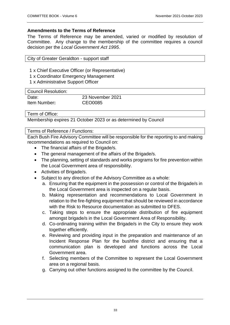# **Amendments to the Terms of Reference**

The Terms of Reference may be amended, varied or modified by resolution of Committee. Any change to the membership of the committee requires a council decision per the *Local Government Act 1995*.

| City of Greater Geraldton - support staff |  |  |
|-------------------------------------------|--|--|
|-------------------------------------------|--|--|

1 x Chief Executive Officer (or Representative)

- 1 x Coordinator Emergency Management
- 1 x Administrative Support Officer

| Council Resolution: |                  |
|---------------------|------------------|
| Date:               | 23 November 2021 |
| Item Number:        | CEO0085          |

Term of Office:

Membership expires 21 October 2023 or as determined by Council

#### Terms of Reference / Functions:

Each Bush Fire Advisory Committee will be responsible for the reporting to and making recommendations as required to Council on:

- The financial affairs of the Brigade/s.
- The general management of the affairs of the Brigade/s.
- The planning, setting of standards and works programs for fire prevention within the Local Government area of responsibility.
- Activities of Brigade/s.
- Subject to any direction of the Advisory Committee as a whole:
	- a. Ensuring that the equipment in the possession or control of the Brigade/s in the Local Government area is inspected on a regular basis.
	- b. Making representation and recommendations to Local Government in relation to the fire-fighting equipment that should be reviewed in accordance with the Risk to Resource documentation as submitted to DFES.
	- c. Taking steps to ensure the appropriate distribution of fire equipment amongst brigade/s in the Local Government Area of Responsibility.
	- d. Co-ordinating training within the Brigade/s in the City to ensure they work together efficiently.
	- e. Reviewing and providing input in the preparation and maintenance of an Incident Response Plan for the bushfire district and ensuring that a communication plan is developed and functions across the Local Government area.
	- f. Selecting members of the Committee to represent the Local Government area on a regional basis.
	- g. Carrying out other functions assigned to the committee by the Council.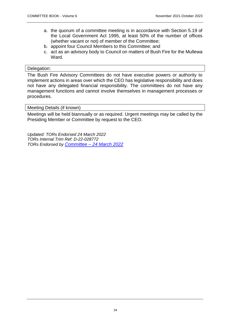- a. the quorum of a committee meeting is in accordance with Section 5.19 of the Local Government Act 1995, at least 50% of the number of offices (whether vacant or not) of member of the Committee;
- b. appoint four Council Members to this Committee; and
- c. act as an advisory body to Council on matters of Bush Fire for the Mullewa Ward.

#### Delegation:

The Bush Fire Advisory Committees do not have executive powers or authority to implement actions in areas over which the CEO has legislative responsibility and does not have any delegated financial responsibility. The committees do not have any management functions and cannot involve themselves in management processes or procedures.

Meeting Details (if known)

Meetings will be held biannually or as required. Urgent meetings may be called by the Presiding Member or Committee by request to the CEO.

*Updated: TORs Endorsed 24 March 2022 TORs Internal Trim Ref: D-22-028772 TORs Endorsed by Committee – [24 March 2022](https://www.cgg.wa.gov.au/documents/committee-meeting-documents/mullewa-bushfire-advisory-committee)*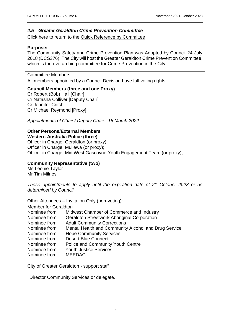# <span id="page-34-0"></span>*4.5 Greater Geraldton Crime Prevention Committee*

Click here to return to the [Quick Reference by Committee](#page-4-1)

# **Purpose:**

The Community Safety and Crime Prevention Plan was Adopted by Council 24 July 2018 (DCS376). The City will host the Greater Geraldton Crime Prevention Committee, which is the overarching committee for Crime Prevention in the City.

Committee Members:

All members appointed by a Council Decision have full voting rights.

# **Council Members (three and one Proxy)**

Cr Robert (Bob) Hall [Chair] Cr Natasha Colliver [Deputy Chair] Cr Jennifer Critch Cr Michael Reymond [Proxy]

*Appointments of Chair / Deputy Chair: 16 March 2022*

# **Other Persons/External Members**

**Western Australia Police (three)** Officer in Charge, Geraldton (or proxy); Officer in Charge, Mullewa (or proxy); Officer in Charge, Mid West Gascoyne Youth Engagement Team (or proxy);

# **Community Representative (two)**

Ms Leonie Taylor Mr Tim Milnes

*These appointments to apply until the expiration date of 21 October 2023 or as determined by Council*

Other Attendees – Invitation Only (non-voting):

| <b>Member for Geraldton</b>                          |
|------------------------------------------------------|
| Midwest Chamber of Commerce and Industry             |
| <b>Geraldton Streetwork Aboriginal Corporation</b>   |
| <b>Adult Community Corrections</b>                   |
| Mental Health and Community Alcohol and Drug Service |
| <b>Hope Community Services</b>                       |
| <b>Desert Blue Connect</b>                           |
| <b>Police and Community Youth Centre</b>             |
| <b>Youth Justice Services</b>                        |
| <b>MEEDAC</b>                                        |
|                                                      |

City of Greater Geraldton - support staff

Director Community Services or delegate.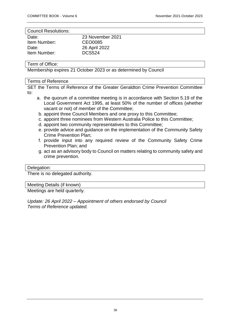#### Council Resolutions:

| Date:        | 23 November 2021 |
|--------------|------------------|
| Item Number: | CEO0085          |
| Date:        | 26 April 2022    |
| Item Number: | <b>DCS524</b>    |
|              |                  |

#### Term of Office:

Membership expires 21 October 2023 or as determined by Council

#### Terms of Reference

SET the Terms of Reference of the Greater Geraldton Crime Prevention Committee to:

- a. the quorum of a committee meeting is in accordance with Section 5.19 of the Local Government Act 1995, at least 50% of the number of offices (whether vacant or not) of member of the Committee;
- b. appoint three Council Members and one proxy to this Committee;
- c. appoint three nominees from Western Australia Police to this Committee;
- d. appoint two community representatives to this Committee;
- e. provide advice and guidance on the implementation of the Community Safety Crime Prevention Plan;
- f. provide input into any required review of the Community Safety Crime Prevention Plan; and
- g. act as an advisory body to Council on matters relating to community safety and crime prevention.

#### Delegation:

There is no delegated authority.

#### Meeting Details (if known)

Meetings are held quarterly.

*Update: 26 April 2022 – Appointment of others endorsed by Council Terms of Reference updated.*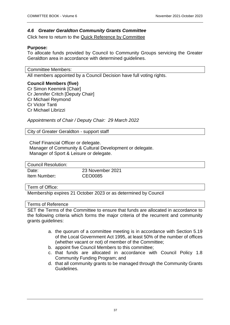# <span id="page-36-0"></span>*4.6 Greater Geraldton Community Grants Committee*

Click here to return to the [Quick Reference by Committee](#page-4-1)

### **Purpose:**

To allocate funds provided by Council to Community Groups servicing the Greater Geraldton area in accordance with determined guidelines.

Committee Members:

All members appointed by a Council Decision have full voting rights.

#### **Council Members (five)**

Cr Simon Keemink [Chair] Cr Jennifer Critch [Deputy Chair] Cr Michael Reymond Cr Victor Tanti Cr Michael Librizzi

*Appointments of Chair / Deputy Chair: 29 March 2022*

City of Greater Geraldton - support staff

Chief Financial Officer or delegate. Manager of Community & Cultural Development or delegate. Manager of Sport & Leisure or delegate.

| Council Resolution: |                  |
|---------------------|------------------|
| Date:               | 23 November 2021 |
| Item Number:        | CEO0085          |

# Term of Office:

Membership expires 21 October 2023 or as determined by Council

#### Terms of Reference

SET the Terms of the Committee to ensure that funds are allocated in accordance to the following criteria which forms the major criteria of the recurrent and community grants guidelines:

- a. the quorum of a committee meeting is in accordance with Section 5.19 of the Local Government Act 1995, at least 50% of the number of offices (whether vacant or not) of member of the Committee;
- b. appoint five Council Members to this committee;
- c. that funds are allocated in accordance with Council Policy 1.8 Community Funding Program; and
- d. that all community grants to be managed through the Community Grants Guidelines.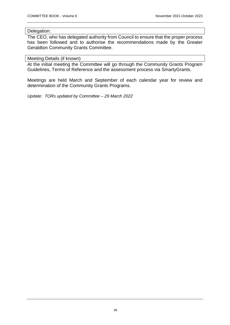#### Delegation:

The CEO, who has delegated authority from Council to ensure that the proper process has been followed and to authorise the recommendations made by the Greater Geraldton Community Grants Committee.

#### Meeting Details (if known)

At the initial meeting the Committee will go through the Community Grants Program Guidelines, Terms of Reference and the assessment process via SmartyGrants.

Meetings are held March and September of each calendar year for review and determination of the Community Grants Programs.

*Update: TORs updated by Committee – 29 March 2022*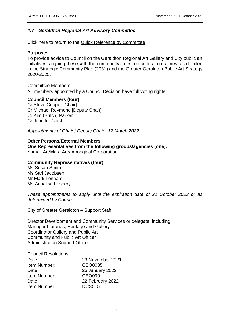# <span id="page-38-0"></span>*4.7 Geraldton Regional Art Advisory Committee*

Click here to return to the [Quick Reference by Committee](#page-4-1)

### **Purpose:**

To provide advice to Council on the Geraldton Regional Art Gallery and City public art initiatives, aligning these with the community's desired cultural outcomes, as detailed in the Strategic Community Plan (2031) and the Greater Geraldton Public Art Strategy 2020-2025.

Committee Members

All members appointed by a Council Decision have full voting rights.

#### **Council Members (four)**

Cr Steve Cooper [Chair] Cr Michael Reymond [Deputy Chair] Cr Kim (Butch) Parker Cr Jennifer Critch

*Appointments of Chair / Deputy Chair: 17 March 2022*

#### **Other Persons/External Members**

**One Representatives from the following groups/agencies (one):** Yamaji Art/Mara Arts Aboriginal Corporation

### **Community Representatives (four):**

Ms Susan Smith Ms Sari Jacobsen Mr Mark Lennard Ms Annalise Fosbery

*These appointments to apply until the expiration date of 21 October 2023 or as determined by Council*

City of Greater Geraldton – Support Staff

Director Development and Community Services or delegate, including: Manager Libraries, Heritage and Gallery Coordinator Gallery and Public Art Community and Public Art Officer Administration Support Officer

#### Council Resolutions

| Date:        | 23 November 2021 |
|--------------|------------------|
| Item Number: | CEO0085          |
| Date:        | 25 January 2022  |
| Item Number: | <b>CEO090</b>    |
| Date:        | 22 February 2022 |
| Item Number: | <b>DCS515</b>    |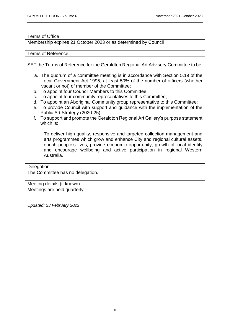#### Terms of Office

Membership expires 21 October 2023 or as determined by Council

#### Terms of Reference

SET the Terms of Reference for the Geraldton Regional Art Advisory Committee to be:

- a. The quorum of a committee meeting is in accordance with Section 5.19 of the Local Government Act 1995, at least 50% of the number of officers (whether vacant or not) of member of the Committee;
- b. To appoint four Council Members to this Committee;
- c. To appoint four community representatives to this Committee;
- d. To appoint an Aboriginal Community group representative to this Committee;
- e. To provide Council with support and guidance with the implementation of the Public Art Strategy (2020-25);
- f. To support and promote the Geraldton Regional Art Gallery's purpose statement which is:

To deliver high quality, responsive and targeted collection management and arts programmes which grow and enhance City and regional cultural assets, enrich people's lives, provide economic opportunity, growth of local identity and encourage wellbeing and active participation in regional Western Australia.

#### **Delegation**

The Committee has no delegation.

Meeting details (if known)

Meetings are held quarterly.

*Updated: 23 February 2022*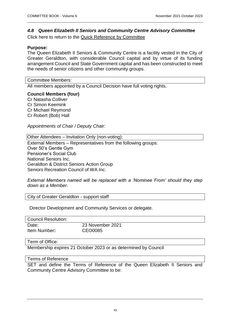# <span id="page-40-0"></span>*4.8 Queen Elizabeth II Seniors and Community Centre Advisory Committee*  Click here to return to the [Quick Reference by Committee](#page-4-1)

# **Purpose:**

The Queen Elizabeth II Seniors & Community Centre is a facility vested in the City of Greater Geraldton, with considerable Council capital and by virtue of its funding arrangement Council and State Government capital and has been constructed to meet the needs of senior citizens and other community groups.

Committee Members:

All members appointed by a Council Decision have full voting rights.

**Council Members (four)**

Cr Natasha Colliver Cr Simon Keemink Cr Michael Reymond Cr Robert (Bob) Hall

*Appointments of Chair / Deputy Chair:* 

Other Attendees – Invitation Only (non-voting): External Members – Representatives from the following groups: Over 50's Gentle Gym Pensioner's Social Club National Seniors Inc. Geraldton & District Seniors Action Group Seniors Recreation Council of WA Inc.

*External Members named will be replaced with a 'Nominee From' should they step down as a Member.*

City of Greater Geraldton - support staff

Director Development and Community Services or delegate.

| Council Resolution: |                  |
|---------------------|------------------|
| Date:               | 23 November 2021 |
| Item Number:        | CEO0085          |

Term of Office:

Membership expires 21 October 2023 or as determined by Council

#### Terms of Reference

SET and define the Terms of Reference of the Queen Elizabeth II Seniors and Community Centre Advisory Committee to be: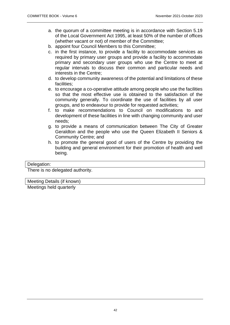- a. the quorum of a committee meeting is in accordance with Section 5.19 of the Local Government Act 1995, at least 50% of the number of offices (whether vacant or not) of member of the Committee;
- b. appoint four Council Members to this Committee;
- c. in the first instance, to provide a facility to accommodate services as required by primary user groups and provide a facility to accommodate primary and secondary user groups who use the Centre to meet at regular intervals to discuss their common and particular needs and interests in the Centre;
- d. to develop community awareness of the potential and limitations of these facilities;
- e. to encourage a co-operative attitude among people who use the facilities so that the most effective use is obtained to the satisfaction of the community generally. To coordinate the use of facilities by all user groups, and to endeavour to provide for requested activities;
- f. to make recommendations to Council on modifications to and development of these facilities in line with changing community and user needs;
- g. to provide a means of communication between The City of Greater Geraldton and the people who use the Queen Elizabeth II Seniors & Community Centre; and
- h. to promote the general good of users of the Centre by providing the building and general environment for their promotion of health and well being.

#### Delegation:

There is no delegated authority.

Meeting Details (if known)

Meetings held quarterly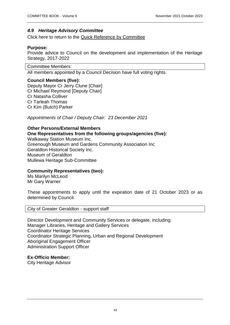# <span id="page-42-0"></span>*4.9 Heritage Advisory Committee*

Click here to return to the [Quick Reference by Committee](#page-4-1)

#### **Purpose:**

Provide advice to Council on the development and implementation of the Heritage Strategy, 2017-2022

Committee Members:

All members appointed by a Council Decision have full voting rights.

#### **Council Members (five):**

Deputy Mayor Cr Jerry Clune [Chair] Cr Michael Reymond [Deputy Chair] Cr Natasha Colliver Cr Tarleah Thomas Cr Kim (Butch) Parker

*Appointments of Chair / Deputy Chair: 23 December 2021*

#### **Other Persons/External Members**

**One Representatives from the following groups/agencies (five):**

Walkaway Station Museum Inc. Greenough Museum and Gardens Community Association Inc Geraldton Historical Society Inc. Museum of Geraldton Mullewa Heritage Sub-Committee

# **Community Representatives (two):**

Ms Marilyn McLeod Mr Gary Warner

These appointments to apply until the expiration date of 21 October 2023 or as determined by Council.

City of Greater Geraldton - support staff

Director Development and Community Services or delegate, including: Manager Libraries, Heritage and Gallery Services Coordinator Heritage Services Coordinator Strategic Planning, Urban and Regional Development Aboriginal Engagement Officer Administration Support Officer

# **Ex-Officio Member:**

City Heritage Advisor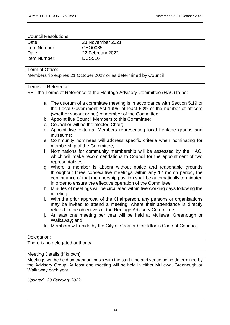#### Council Resolutions:

| Date:        | 23 November 2021 |
|--------------|------------------|
| Item Number: | CEO0085          |
| Date:        | 22 February 2022 |
| Item Number: | <b>DCS516</b>    |
|              |                  |

#### Term of Office:

Membership expires 21 October 2023 or as determined by Council

#### Terms of Reference

SET the Terms of Reference of the Heritage Advisory Committee (HAC) to be:

- a. The quorum of a committee meeting is in accordance with Section 5.19 of the Local Government Act 1995, at least 50% of the number of officers (whether vacant or not) of member of the Committee;
- b. Appoint five Council Members to this Committee;
- c. Councillor will be the elected Chair;
- d. Appoint five External Members representing local heritage groups and museums;
- e. Community nominees will address specific criteria when nominating for membership of the Committee;
- f. Nominations for community membership will be assessed by the HAC, which will make recommendations to Council for the appointment of two representatives;
- g. Where a member is absent without notice and reasonable grounds throughout three consecutive meetings within any 12 month period, the continuance of that membership position shall be automatically terminated in order to ensure the effective operation of the Committee;
- h. Minutes of meetings will be circulated within five working days following the meeting;
- i. With the prior approval of the Chairperson, any persons or organisations may be invited to attend a meeting, where their attendance is directly related to the objectives of the Heritage Advisory Committee;
- j. At least one meeting per year will be held at Mullewa, Greenough or Walkaway; and
- k. Members will abide by the City of Greater Geraldton's Code of Conduct.

#### Delegation:

There is no delegated authority.

#### Meeting Details (if known)

Meetings will be held on triannual basis with the start time and venue being determined by the Advisory Group. At least one meeting will be held in either Mullewa, Greenough or Walkaway each year.

*Updated: 23 February 2022*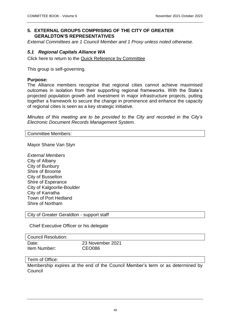# <span id="page-44-0"></span>**5. EXTERNAL GROUPS COMPRISING OF THE CITY OF GREATER GERALDTON'S REPRESENTATIVES**

*External Committees are 1 Council Member and 1 Proxy unless noted otherwise.*

# <span id="page-44-1"></span>*5.1 Regional Capitals Alliance WA*

Click here to return to the [Quick Reference by Committee](#page-4-1)

This group is self-governing.

### **Purpose:**

The Alliance members recognise that regional cities cannot achieve maximised outcomes in isolation from their supporting regional frameworks. With the State's projected population growth and investment in major infrastructure projects, putting together a framework to secure the change in prominence and enhance the capacity of regional cities is seen as a key strategic initiative.

*Minutes of this meeting are to be provided to the City and recorded in the City's Electronic Document Records Management System.* 

Committee Members:

Mayor Shane Van Styn

*External Members* City of Albany City of Bunbury Shire of Broome City of Busselton Shire of Esperance City of Kalgoorlie-Boulder City of Karratha Town of Port Hedland Shire of Northam

City of Greater Geraldton - support staff

Chief Executive Officer or his delegate

| Council Resolution: |                  |
|---------------------|------------------|
| Date:               | 23 November 2021 |
| Item Number:        | CEO086           |

#### Term of Office:

Membership expires at the end of the Council Member's term or as determined by Council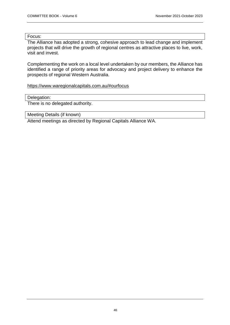#### Focus:

The Alliance has adopted a strong, cohesive approach to lead change and implement projects that will drive the growth of regional centres as attractive places to live, work, visit and invest.

Complementing the work on a local level undertaken by our members, the Alliance has identified a range of priority areas for advocacy and project delivery to enhance the prospects of regional Western Australia.

<https://www.waregionalcapitals.com.au/#ourfocus>

#### Delegation:

There is no delegated authority.

Meeting Details (if known)

Attend meetings as directed by Regional Capitals Alliance WA.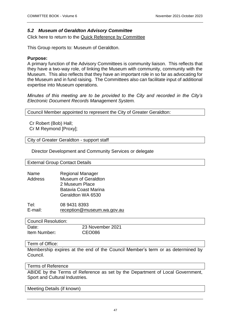# <span id="page-46-0"></span>*5.2 Museum of Geraldton Advisory Committee*

Click here to return to the [Quick Reference by Committee](#page-4-1)

This Group reports to: Museum of Geraldton.

### **Purpose:**

A primary function of the Advisory Committees is community liaison. This reflects that they have a two-way role, of linking the Museum with community, community with the Museum. This also reflects that they have an important role in so far as advocating for the Museum and in fund raising. The Committees also can facilitate input of additional expertise into Museum operations.

*Minutes of this meeting are to be provided to the City and recorded in the City's Electronic Document Records Management System.*

Council Member appointed to represent the City of Greater Geraldton:

Cr Robert (Bob) Hall; Cr M Reymond [Proxy];

City of Greater Geraldton - support staff

Director Development and Community Services or delegate

External Group Contact Details

| Name    | <b>Regional Manager</b>     |
|---------|-----------------------------|
| Address | <b>Museum of Geraldton</b>  |
|         | 2 Museum Place              |
|         | <b>Batavia Coast Marina</b> |
|         | Geraldton WA 6530           |

Tel: 08 9431 8393 E-mail: [reception@museum.wa.gov.au](mailto:reception@museum.wa.gov.au)

| <b>Council Resolution:</b> |                  |
|----------------------------|------------------|
| Date:                      | 23 November 2021 |
| Item Number:               | <b>CEO086</b>    |

#### Term of Office:

Membership expires at the end of the Council Member's term or as determined by Council.

#### Terms of Reference

ABIDE by the Terms of Reference as set by the Department of Local Government, Sport and Cultural Industries.

Meeting Details (if known)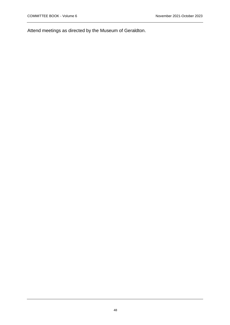Attend meetings as directed by the Museum of Geraldton.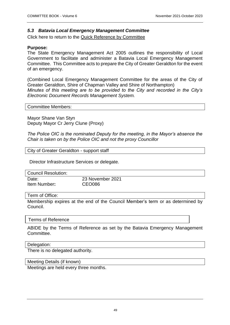# <span id="page-48-0"></span>*5.3 Batavia Local Emergency Management Committee*

Click here to return to the [Quick Reference by Committee](#page-4-1)

#### **Purpose:**

The State Emergency Management Act 2005 outlines the responsibility of Local Government to facilitate and administer a Batavia Local Emergency Management Committee. This Committee acts to prepare the City of Greater Geraldton for the event of an emergency.

(Combined Local Emergency Management Committee for the areas of the City of Greater Geraldton, Shire of Chapman Valley and Shire of Northampton) *Minutes of this meeting are to be provided to the City and recorded in the City's Electronic Document Records Management System.* 

Committee Members:

Mayor Shane Van Styn Deputy Mayor Cr Jerry Clune (Proxy)

*The Police OIC is the nominated Deputy for the meeting, in the Mayor's absence the Chair is taken on by the Police OIC and not the proxy Councillor*

City of Greater Geraldton - support staff

Director Infrastructure Services or delegate.

| Council Resolution: |                  |
|---------------------|------------------|
| Date:               | 23 November 2021 |
| Item Number:        | CEO086           |

#### Term of Office:

Membership expires at the end of the Council Member's term or as determined by Council.

#### Terms of Reference

ABIDE by the Terms of Reference as set by the Batavia Emergency Management Committee.

#### Delegation:

There is no delegated authority.

Meeting Details (if known)

Meetings are held every three months.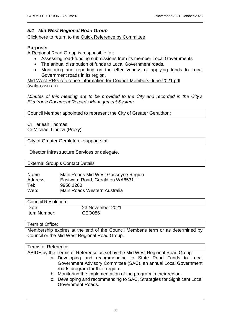# <span id="page-49-0"></span>*5.4 Mid West Regional Road Group*

Click here to return to the [Quick Reference by Committee](#page-4-1)

### **Purpose:**

A Regional Road Group is responsible for:

- Assessing road-funding submissions from its member Local Governments
- The annual distribution of funds to Local Government roads.
- Monitoring and reporting on the effectiveness of applying funds to Local Government roads in its region.

[Mid-West-RRG-reference-information-for-Council-Members-June-2021.pdf](https://walga.asn.au/getattachment/Policy-Advice-and-Advocacy/Infrastructure/Roads/Regional-Road-Groups/Mid-West-RRG-reference-information-for-Elected-Members-June-2021.pdf?lang=en-AU)  [\(walga.asn.au\)](https://walga.asn.au/getattachment/Policy-Advice-and-Advocacy/Infrastructure/Roads/Regional-Road-Groups/Mid-West-RRG-reference-information-for-Elected-Members-June-2021.pdf?lang=en-AU)

*Minutes of this meeting are to be provided to the City and recorded in the City's Electronic Document Records Management System.* 

Council Member appointed to represent the City of Greater Geraldton:

Cr Tarleah Thomas Cr Michael Librizzi (Proxy)

City of Greater Geraldton - support staff

Director Infrastructure Services or delegate.

External Group's Contact Details

| Name    | Main Roads Mid West-Gascoyne Region |
|---------|-------------------------------------|
| Address | Eastward Road, Geraldton WA6531     |
| Tel:    | 9956 1200                           |
| Web:    | Main Roads Western Australia        |

| Council Resolution: |                  |
|---------------------|------------------|
| Date:               | 23 November 2021 |
| Item Number:        | CEO086           |

#### Term of Office:

Membership expires at the end of the Council Member's term or as determined by Council or the Mid West Regional Road Group.

#### Terms of Reference

ABIDE by the Terms of Reference as set by the Mid West Regional Road Group:

- a. Developing and recommending to State Road Funds to Local Government Advisory Committee (SAC), an annual Local Government roads program for their region.
- b. Monitoring the implementation of the program in their region.
- c. Developing and recommending to SAC, Strategies for Significant Local Government Roads.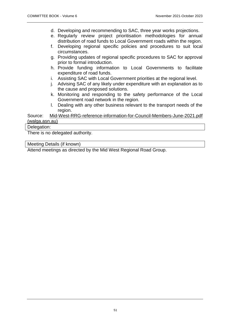- d. Developing and recommending to SAC, three year works projections.
- e. Regularly review project prioritisation methodologies for annual distribution of road funds to Local Government roads within the region.
- f. Developing regional specific policies and procedures to suit local circumstances.
- g. Providing updates of regional specific procedures to SAC for approval prior to formal introduction.
- h. Provide funding information to Local Governments to facilitate expenditure of road funds.
- i. Assisting SAC with Local Government priorities at the regional level.
- j. Advising SAC of any likely under expenditure with an explanation as to the cause and proposed solutions.
- k. Monitoring and responding to the safety performance of the Local Government road network in the region.
- l. Dealing with any other business relevant to the transport needs of the region.

Source: [Mid-West-RRG-reference-information-for-Council-Members-June-2021.pdf](https://walga.asn.au/getattachment/Policy-Advice-and-Advocacy/Infrastructure/Roads/Regional-Road-Groups/Mid-West-RRG-reference-information-for-Elected-Members-June-2021.pdf?lang=en-AU)  [\(walga.asn.au\)](https://walga.asn.au/getattachment/Policy-Advice-and-Advocacy/Infrastructure/Roads/Regional-Road-Groups/Mid-West-RRG-reference-information-for-Elected-Members-June-2021.pdf?lang=en-AU)

# Delegation:

There is no delegated authority.

Meeting Details (if known)

Attend meetings as directed by the Mid West Regional Road Group.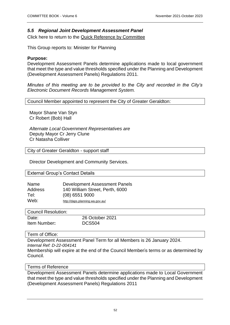### <span id="page-51-0"></span>*5.5 Regional Joint Development Assessment Panel*

Click here to return to the [Quick Reference by Committee](#page-4-1)

This Group reports to: Minister for Planning

#### **Purpose:**

Development Assessment Panels determine applications made to local government that meet the type and value thresholds specified under the Planning and Development (Development Assessment Panels) Regulations 2011.

*Minutes of this meeting are to be provided to the City and recorded in the City's Electronic Document Records Management System.* 

Council Member appointed to represent the City of Greater Geraldton:

Mayor [Shane Van Styn](#page-6-2) Cr Robert (Bob) Hall

*Alternate Local Government Representatives are* Deputy Mayor Cr Jerry Clune Cr Natasha Colliver

City of Greater Geraldton - support staff

Director Development and Community Services.

#### External Group's Contact Details

| Name    | Development Assessment Panels   |
|---------|---------------------------------|
| Address | 140 William Street, Perth, 6000 |
| Tel:    | $(08)$ 6551 9000                |
| Web:    | http://daps.planning.wa.gov.au/ |

| <b>Council Resolution:</b> |                 |
|----------------------------|-----------------|
| Date:                      | 26 October 2021 |
| Item Number:               | <b>DCS504</b>   |

#### Term of Office:

Development Assessment Panel Term for all Members is 26 January 2024. *Internal Ref: D-22-004141*

Membership will expire at the end of the Council Member's terms or as determined by Council.

#### Terms of Reference

Development Assessment Panels determine applications made to Local Government that meet the type and value thresholds specified under the Planning and Development (Development Assessment Panels) Regulations 2011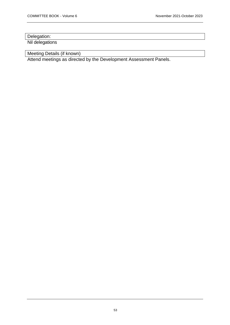# Delegation:

Nil delegations

Meeting Details (if known)

Attend meetings as directed by the Development Assessment Panels.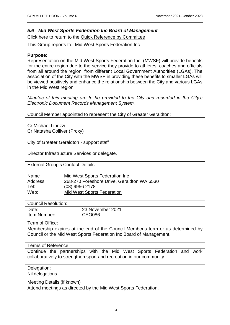# <span id="page-53-0"></span>*5.6 Mid West Sports Federation Inc Board of Management*

Click here to return to the [Quick Reference by Committee](#page-4-1)

This Group reports to: Mid West Sports Federation Inc

### **Purpose:**

Representation on the Mid West Sports Federation Inc. (MWSF) will provide benefits for the entire region due to the service they provide to athletes, coaches and officials from all around the region, from different Local Government Authorities (LGAs). The association of the City with the MWSF in providing these benefits to smaller LGAs will be viewed positively and enhance the relationship between the City and various LGAs in the Mid West region.

*Minutes of this meeting are to be provided to the City and recorded in the City's Electronic Document Records Management System.* 

Council Member appointed to represent the City of Greater Geraldton:

Cr Michael Librizzi Cr Natasha Colliver (Proxy)

City of Greater Geraldton - support staff

Director Infrastructure Services or delegate.

External Group's Contact Details

| Name    | Mid West Sports Federation Inc             |
|---------|--------------------------------------------|
| Address | 268-270 Foreshore Drive, Geraldton WA 6530 |
| Tel:    | $(08)$ 9956 2178                           |
| Web:    | <b>Mid West Sports Federation</b>          |

#### Council Resolution:

| Date:        | 23 November 2021 |
|--------------|------------------|
| Item Number: | <b>CEO086</b>    |

Term of Office:

Membership expires at the end of the Council Member's term or as determined by Council or the Mid West Sports Federation Inc Board of Management.

#### Terms of Reference

Continue the partnerships with the Mid West Sports Federation and work collaboratively to strengthen sport and recreation in our community

#### Delegation:

Nil delegations

Meeting Details (if known)

Attend meetings as directed by the Mid West Sports Federation.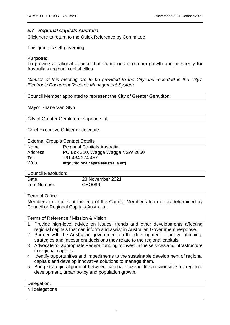# <span id="page-54-0"></span>*5.7 Regional Capitals Australia*

Click here to return to the [Quick Reference by Committee](#page-4-1)

This group is self-governing.

### **Purpose:**

To provide a national alliance that champions maximum growth and prosperity for Australia's regional capital cities.

*Minutes of this meeting are to be provided to the City and recorded in the City's Electronic Document Records Management System.* 

Council Member appointed to represent the City of Greater Geraldton:

Mayor Shane Van Styn

City of Greater Geraldton - support staff

Chief Executive Officer or delegate.

| <b>External Group's Contact Details</b> |                                      |
|-----------------------------------------|--------------------------------------|
| Name                                    | <b>Regional Capitals Australia</b>   |
| Address                                 | PO Box 320, Wagga Wagga NSW 2650     |
| Tel:                                    | +61 434 274 457                      |
| Web:                                    | http://regionalcapitalsaustralia.org |
|                                         |                                      |

Council Resolution:

Item Number**:** CEO086

Date: 23 November 2021

#### Term of Office:

Membership expires at the end of the Council Member's term or as determined by Council or Regional Capitals Australia.

Terms of Reference / Mission & Vision

- 1 Provide high-level advice on issues, trends and other developments affecting regional capitals that can inform and assist in Australian Government response.
- 2 Partner with the Australian government on the development of policy, planning, strategies and investment decisions they relate to the regional capitals.
- 3 Advocate for appropriate Federal funding to invest in the services and infrastructure in regional capitals.
- 4 Identify opportunities and impediments to the sustainable development of regional capitals and develop innovative solutions to manage them.
- 5 Bring strategic alignment between national stakeholders responsible for regional development, urban policy and population growth.

| Delegation:     |  |
|-----------------|--|
| Nil delegations |  |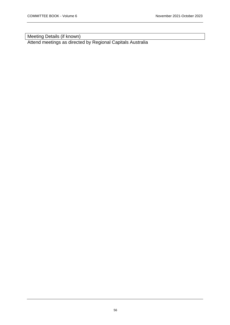Meeting Details (if known)

Attend meetings as directed by Regional Capitals Australia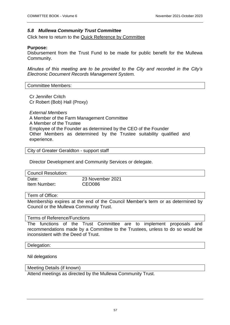#### <span id="page-56-0"></span>*5.8 Mullewa Community Trust Committee*

Click here to return to the [Quick Reference by Committee](#page-4-1)

#### **Purpose:**

Disbursement from the Trust Fund to be made for public benefit for the Mullewa Community.

*Minutes of this meeting are to be provided to the City and recorded in the City's Electronic Document Records Management System.* 

Committee Members:

Cr Jennifer Critch Cr Robert (Bob) Hall (Proxy)

*External Members* A Member of the Farm Management Committee A Member of the Trustee Employee of the Founder as determined by the CEO of the Founder Other Members as determined by the Trustee suitability qualified and experience.

City of Greater Geraldton - support staff

Director Development and Community Services or delegate.

| <b>Council Resolution:</b> |                  |
|----------------------------|------------------|
| Date:                      | 23 November 2021 |
| Item Number:               | CEO086           |

Term of Office:

Membership expires at the end of the Council Member's term or as determined by Council or the Mullewa Community Trust.

#### Terms of Reference/Functions

The functions of the Trust Committee are to implement proposals and recommendations made by a Committee to the Trustees, unless to do so would be inconsistent with the Deed of Trust.

#### Delegation:

Nil delegations

Meeting Details (if known)

Attend meetings as directed by the Mullewa Community Trust.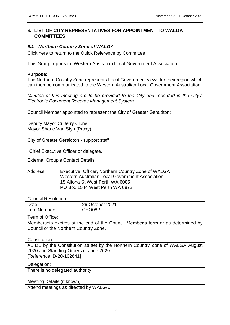# <span id="page-57-0"></span>**6. LIST OF CITY REPRESENTATIVES FOR APPOINTMENT TO WALGA COMMITTEES**

# <span id="page-57-1"></span>*6.1 Northern Country Zone of WALGA*

Click here to return to the [Quick Reference by Committee](#page-4-1)

This Group reports to: Western Australian Local Government Association.

#### **Purpose:**

The Northern Country Zone represents Local Government views for their region which can then be communicated to the Western Australian Local Government Association.

*Minutes of this meeting are to be provided to the City and recorded in the City's Electronic Document Records Management System.* 

Council Member appointed to represent the City of Greater Geraldton:

Deputy Mayor Cr Jerry Clune Mayor Shane Van Styn (Proxy)

City of Greater Geraldton - support staff

Chief Executive Officer or delegate.

External Group's Contact Details

Address Executive Officer, Northern Country Zone of WALGA Western Australian Local Government Association 15 Altona St West Perth WA 6005 PO Box 1544 West Perth WA 6872

| Council Resolution:         |                                  |
|-----------------------------|----------------------------------|
| Date:<br>Item Number:       | 26 October 2021<br><b>CEO082</b> |
| $\sim$ $\sim$ $\sim$ $\sim$ |                                  |

Term of Office:

Membership expires at the end of the Council Member's term or as determined by Council or the Northern Country Zone.

#### **Constitution**

ABIDE by the Constitution as set by the Northern Country Zone of WALGA August 2020 and Standing Orders of June 2020. [Reference :D-20-102641]

#### Delegation:

There is no delegated authority

Meeting Details (if known)

Attend meetings as directed by WALGA.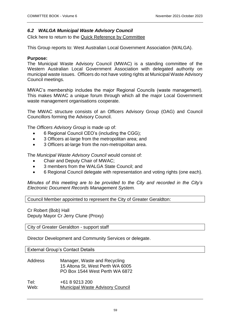# <span id="page-58-0"></span>*6.2 WALGA Municipal Waste Advisory Council*

Click here to return to the [Quick Reference by Committee](#page-4-1)

This Group reports to: West Australian Local Government Association (WALGA).

#### **Purpose:**

The Municipal Waste Advisory Council (MWAC) is a standing committee of the Western Australian Local Government Association with delegated authority on municipal waste issues. Officers do not have voting rights at Municipal Waste Advisory Council meetings.

MWAC's membership includes the major Regional Councils (waste management). This makes MWAC a unique forum through which all the major Local Government waste management organisations cooperate.

The MWAC structure consists of an Officers Advisory Group (OAG) and Council Councillors forming the Advisory Council.

The *Officers Advisory Group* is made up of:

- 6 Regional Council CEO's (including the CGG);
- 3 Officers at-large from the metropolitan area; and
- 3 Officers at-large from the non-metropolitan area.

The *Municipal Waste Advisory Council* would consist of:

- Chair and Deputy Chair of MWAC;
- 3 members from the WALGA State Council; and
- 6 Regional Council delegate with representation and voting rights (one each).

*Minutes of this meeting are to be provided to the City and recorded in the City's Electronic Document Records Management System.* 

Council Member appointed to represent the City of Greater Geraldton:

Cr Robert (Bob) Hall Deputy Mayor Cr Jerry Clune (Proxy)

City of Greater Geraldton - support staff

Director Development and Community Services or delegate.

External Group's Contact Details

| <b>Address</b> | Manager, Waste and Recycling     |
|----------------|----------------------------------|
|                | 15 Altona St, West Perth WA 6005 |
|                | PO Box 1544 West Perth WA 6872   |

Tel: +61 8 9213 200 Web: [Municipal Waste Advisory Council](https://www.wastenet.net.au/aboutmwac-members.aspx)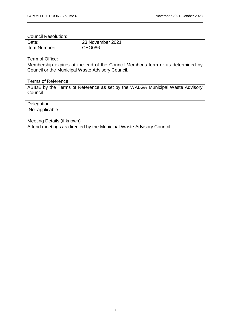| Council Resolution: |                  |
|---------------------|------------------|
| Date:               | 23 November 2021 |
| Item Number:        | <b>CEO086</b>    |

#### Term of Office:

Membership expires at the end of the Council Member's term or as determined by Council or the Municipal Waste Advisory Council.

# Terms of Reference

ABIDE by the Terms of Reference as set by the WALGA Municipal Waste Advisory **Council** 

#### Delegation:

Not applicable

# Meeting Details (if known)

Attend meetings as directed by the Municipal Waste Advisory Council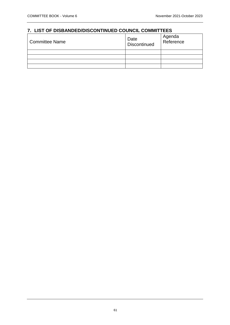# <span id="page-60-0"></span>**7. LIST OF DISBANDED/DISCONTINUED COUNCIL COMMITTEES** Committee Name Date Date **Discontinued** Agenda Reference